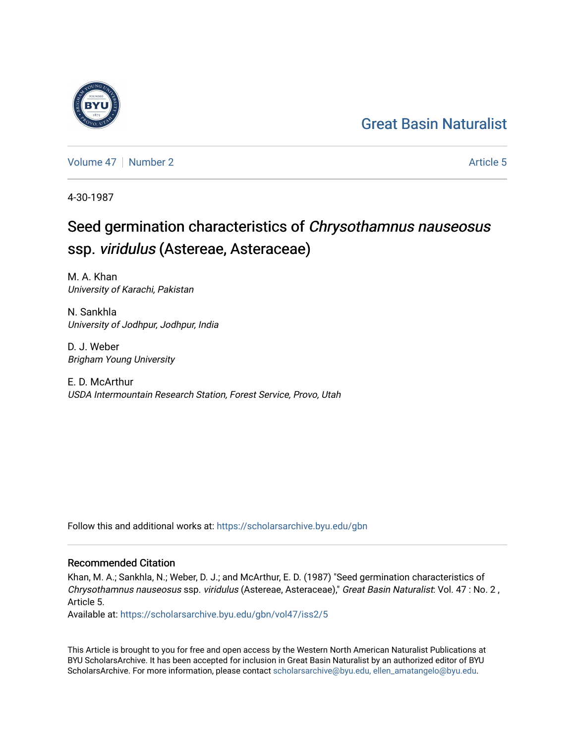## [Great Basin Naturalist](https://scholarsarchive.byu.edu/gbn)

[Volume 47](https://scholarsarchive.byu.edu/gbn/vol47) | [Number 2](https://scholarsarchive.byu.edu/gbn/vol47/iss2) Article 5

4-30-1987

# Seed germination characteristics of Chrysothamnus nauseosus ssp. viridulus (Astereae, Asteraceae)

M. A. Khan University of Karachi, Pakistan

N. Sankhla University of Jodhpur, Jodhpur, India

D. J. Weber Brigham Young University

E. D. McArthur USDA Intermountain Research Station, Forest Service, Provo, Utah

Follow this and additional works at: [https://scholarsarchive.byu.edu/gbn](https://scholarsarchive.byu.edu/gbn?utm_source=scholarsarchive.byu.edu%2Fgbn%2Fvol47%2Fiss2%2F5&utm_medium=PDF&utm_campaign=PDFCoverPages) 

## Recommended Citation

Khan, M. A.; Sankhla, N.; Weber, D. J.; and McArthur, E. D. (1987) "Seed germination characteristics of Chrysothamnus nauseosus ssp. viridulus (Astereae, Asteraceae)," Great Basin Naturalist: Vol. 47 : No. 2 , Article 5.

Available at: [https://scholarsarchive.byu.edu/gbn/vol47/iss2/5](https://scholarsarchive.byu.edu/gbn/vol47/iss2/5?utm_source=scholarsarchive.byu.edu%2Fgbn%2Fvol47%2Fiss2%2F5&utm_medium=PDF&utm_campaign=PDFCoverPages)

This Article is brought to you for free and open access by the Western North American Naturalist Publications at BYU ScholarsArchive. It has been accepted for inclusion in Great Basin Naturalist by an authorized editor of BYU ScholarsArchive. For more information, please contact [scholarsarchive@byu.edu, ellen\\_amatangelo@byu.edu.](mailto:scholarsarchive@byu.edu,%20ellen_amatangelo@byu.edu)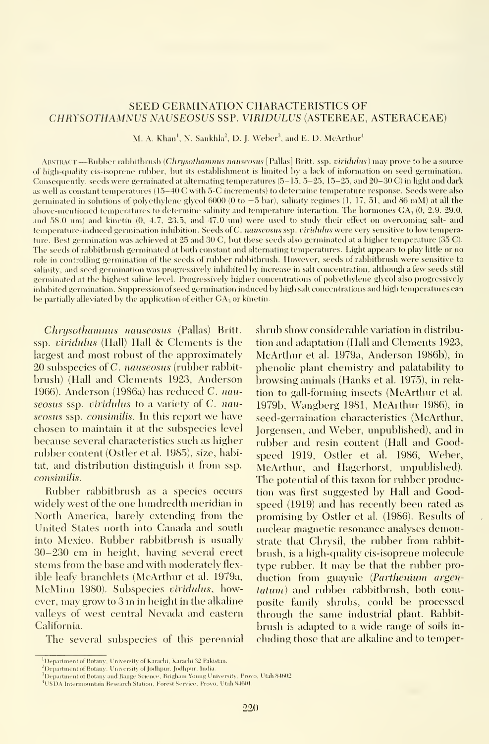### SEED GERMINATION CHARACTERISTICS OF CHRYSOTHAMNUS NAUSEOSUS SSP. VIRIDULUS (ASTEREAE, ASTERACEAE)

M, A. Khan<sup>1</sup>, N. Sankhla<sup>2</sup>, D. J. Weber<sup>3</sup>, and E. D. McArthur<sup>4</sup>

ABSTRACT.—Rubber rabbitbrush (Chrysothamnus nauseosus [Pallas] Britt. ssp. viridulus) may prove to be a source of high-cjuality cis-isoprene rubber, but its establishment is limited by a lack of information on seed germination. Consequently, seeds were germinated at alternating temperatures  $(5-15, 5-25, 15-25,$  and  $20-30$  C) in light and dark as well as constant temperatmes (15-40 C with 5-C increments) to determine temperature response. Seeds were also germinated in solutions of polyethylene glycol 6000 (0 to  $-5$  bar), salinity regimes (1, 17, 51, and 86 mM) at all the above-mentioned temperatures to determine salinity and temperature interaction. The hormones  $GA_3(0, 2.9, 29.0, 1.0)$ and 58.0 um) and kinetin (0, 4.7, 23.5, and 47.0 um) were used to study their effect on overcoming salt- and temperature-induced germination inhibition. Seeds of C. nauseosus ssp. viridulus were very sensitive to low temperature. Best germination was achieved at 25 and 30 C, but these seeds also germinated at a higher temperature (35 C). The seeds of rabbitbrush germinated at both constant and alternating temperatures. Light appears to play little or no role in controlling germination of the seeds of rubber rabliitbrush. However, seeds of rabbitbrush were sensitive to salinity, and seed germination was progressively inhibited by increase in salt concentration, although a few seeds still germinated at the highest saline level. Progressively higher concentrations of polyethylene glycol also progressively inhibited germination. Suppression of seed germination induced by high salt concentrations and high temperatures can be partially alleviated by the application of either  $GA_3$  or kinetin.

Chrysothamnus nauscosus (Pallas) Britt. ssp. viridulus (Hall) Hall & Clements is the largest and most robust of the approximately 20 subspecies of C. nauseosus (rubber rabbitbrush) (Hall and Clements 1923, Anderson 1966). Anderson (19S6a) has reduced C. nauseosus ssp. viridulus to a variety of C. nauseosus ssp. consimilis. In this report we have chosen to maintain it at the subspecies level because several characteristics such as higher rubber content (Ostler et al. 1985), size, habitat, and distribution distinguish it from ssp. consimilis.

Rubber rabbitbrush as a species occurs widely west of the one hundredth meridian in North America, barely extending from the United States north into Canada and south into Mexico. Rubber rabbitbrush is usually 30-230 cm in height, having several erect stems from the base and with moderately flex ible leafy branchlets (McArthur et al. 1979a, McMinn 1980). Subspecies viridulus, however, may grow to <sup>3</sup> m in height in the alkaline valleys of west central Nevada and eastern California.

The several subspecies of this perennial

shrub show considerable variation in distribution and adaptation (Hall and Clements 1923, McArthur et al. 1979a, Anderson 1986b), in phenolic plant chemistry and palatability to

browsing animals (Hanks et al. 1975), in rela tion to gall-forming insects (McArthur et al. 1979b, Wangberg 1981, McArthur 1986), in seed-germination characteristics (McArthur, Jorgensen, and Weber, unpublished), and in rubber and resin content (Hall and Goodspeed 1919, Ostler et al. 1986, Weber, McArthur, and Hagerhorst, unpublished). The potential of this taxon for rubber production was first suggested by Hall and Goodspeed (1919) and has recently been rated as promising by Ostler et al. (1986). Results of nuclear magnetic resonance analyses demonstrate that Chrysil, the rubber from rabbit brush, is a high-quality cis-isoprene molecule type rubber. It may be that the rubber pro duction from guayule {Parthenium argen tatum) and rubber rabbitbrush, both composite family shrubs, could be processed through the same industrial plant. Rabbitbrush is adapted to a wide range of soils in cluding those that are alkaline and to temper-

<sup>&</sup>lt;sup>1</sup>Department of Botany, University of Karachi, Karachi 32 Pakistan.

<sup>&</sup>lt;sup>2</sup>Department of Botany, University of Jodhpur, Jodhpur, India.

<sup>&#</sup>x27;'Department of Botany and Range Science, Brigham Young University, Provo, Utah 84602<br><sup>4</sup>USDA Intermountain Research Station, Forest Service, Provo, Utah 84601.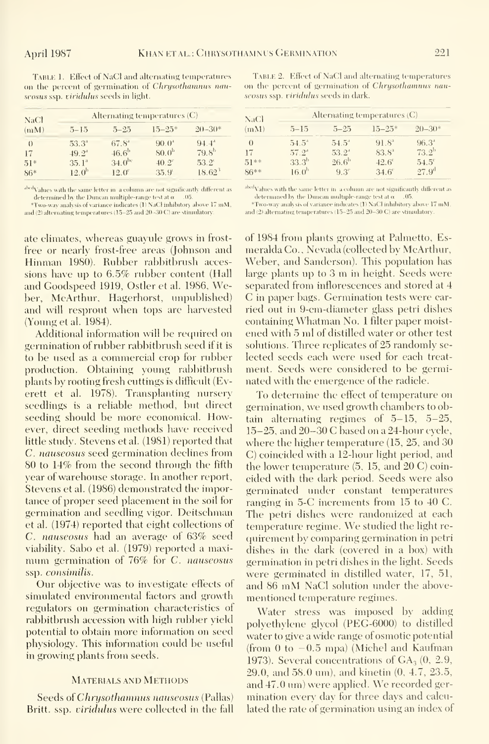TABLE 1. Effect of NaCl and alternating temperatures on the percent of germination of Chrysothamnus nauseosus ssp. viridulus seeds in light.

| <b>NaCl</b><br>(mM) | Alternating temperatures $(C)$ | NaCl           |                   |                |        |
|---------------------|--------------------------------|----------------|-------------------|----------------|--------|
|                     | $5 - 15$                       | $5 - 25$       | $15 - 25*$        | $20 - 30*$     | (mM)   |
| $\left($            | $53.3^{\circ}$                 | $67.8^{4}$     | 90.0 <sup>4</sup> | $94.4^{\circ}$ | $\cup$ |
| 17                  | $49.2^{\circ}$                 | $46.6^{b}$     | 80.0 <sup>b</sup> | $79.8^{h}$     | 17     |
| $51*$               | $35.1^{\circ}$                 | $34.0^{bc}$    | $40.2^{\circ}$    | $53.2^{\circ}$ | $51**$ |
| $86*$               | 12.0 <sup>b</sup>              | $12.0^{\circ}$ | $35.9^{\circ}$    | $18.62^3$      | 86**   |

abodyahies with the same letter in a column are not significantly different as Vantes wurd tie same etter in a commin are not signineariny unetent as<br>determined by the Duncan multiple-range test at  $\alpha = .05$ .<br>\*Two-way analysis of variance indicates (I) NaCl inhibitory above 17 mM,

and (2) alternating temperatures (15-25 and 20-30 C) are stimulatory.

ate climates, whereas guayule grows in frostfree or nearly frost-free areas (Johnson and Hinman 1980). Rubber rabbitbrush accessions have up to  $6.5\%$  rubber content (Hall and Goodspeed 1919, Ostler et al. 1986, Weber, MeArthur, Hagerhorst, unpublished) and will resprout when tops are harvested (Young et al. 1984).

Additional information will be required on germination of rubber rabbitbrush seed if it is to be used as a commercial crop for rubber production. Obtaining young rabbitbrush plants by rooting fresh cuttings is difficult (Everett et al. 1978). Transplanting nursery seedlings is a reliable method, but direct seeding should be more economical. However, direct seeding methods have received little study. Stevens et al. (1981) reported that C. nauseosus seed germination declines from 80 to 14% from the second through the fifth year of warehouse storage. In another report, Stevens et al. (1986) demonstrated the importance of proper seed placement in the soil for germination and seedling vigor. Deitschman et al. (1974) reported that eight collections of C. nauseosus had an average of 63% seed viability. Sabo et al. (1979) reported a maximum germination of 76% for C. nauseosus ssp. consimilis.

Our objective was to investigate effects of simulated environmental factors and growth regulators on germination characteristics of rabbitbrush accession with high rubber vield potential to obtain more information on seed physiology. This information could be useful in growing plants from seeds.

#### **MATERIALS AND METHODS**

Seeds of Chrysothammus nauseosus (Pallas) Britt. ssp. viridulus were collected in the fall

TABLE 2. Effect of NaCl and alternating temperatures on the percent of germination of Chrysothamnus nauseosus ssp. viridulus seeds in dark.

| NaCl     | Alternating temperatures $(C)$ |                |                |                   |  |  |
|----------|--------------------------------|----------------|----------------|-------------------|--|--|
| (mM)     | $5 - 15$                       | $5 - 25$       | $15 - 25*$     | $20 - 30*$        |  |  |
| $\theta$ | $54.5^{\circ}$                 | $54.5^{\circ}$ | $91.8^{a}$     | $96.3^{\circ}$    |  |  |
| 17       | $57.2^4$                       | $53.2^4$       | $83.8^{\circ}$ | $73.2^{\rm b}$    |  |  |
| $51**$   | $33.3^{b}$                     | $26.6^{\rm h}$ | $42.6^{\circ}$ | $54.5^{\circ}$    |  |  |
| $86**$   | 16.0 <sup>b</sup>              | $9.3^\circ$    | $34.6^\circ$   | 27.9 <sup>d</sup> |  |  |

abcdValues with the same letter in a column are not significantly different as values with the same letter in a column are not significant<br>determined by the Duncan multiple-range test at  $\alpha = .05$ . "Two-way analysis of variance indicates (1) NaCl inhibitory above 17 mM.

and (2) alternating temperatures (15–25 and 20–30 C) are stinulatory.

of 1984 from plants growing at Palmetto, Esmeralda Co., Nevada (collected by McArthur, Weber, and Sanderson). This population has large plants up to 3 m in height. Seeds were separated from inflorescences and stored at 4 C in paper bags. Germination tests were carried out in 9-cm-diameter glass petri dishes containing Whatman No. 1 filter paper moistened with 5 ml of distilled water or other test solutions. Three replicates of 25 randomly selected seeds each were used for each treatment. Seeds were considered to be germinated with the emergence of the radicle.

To determine the effect of temperature on germination, we used growth chambers to obtain alternating regimes of  $5-15$ ,  $5-25$ , 15-25, and 20-30 C based on a 24-hour cycle, where the higher temperature (15, 25, and 30 C) coincided with a 12-hour light period, and the lower temperature  $(5, 15, \text{ and } 20 \text{ C})$  coineided with the dark period. Seeds were also germinated under constant temperatures ranging in 5-C increments from 15 to 40 C. The petri dishes were randomized at each temperature regime. We studied the light requirement by comparing germination in petri dishes in the dark (covered in a box) with germination in petri dishes in the light. Seeds were germinated in distilled water, 17, 51, and 86 mM NaCl solution under the abovementioned temperature regimes.

Water stress was imposed by adding polvethylene glycol (PEG-6000) to distilled water to give a wide range of osmotic potential (from 0 to  $-0.5$  mpa) (Michel and Kaufman 1973). Several concentrations of  $GA_3(0, 2.9, 1)$ 29.0, and 58.0 um), and kinetin (0, 4.7, 23.5, and 47.0 um) were applied. We recorded germination every day for three days and calculated the rate of germination using an index of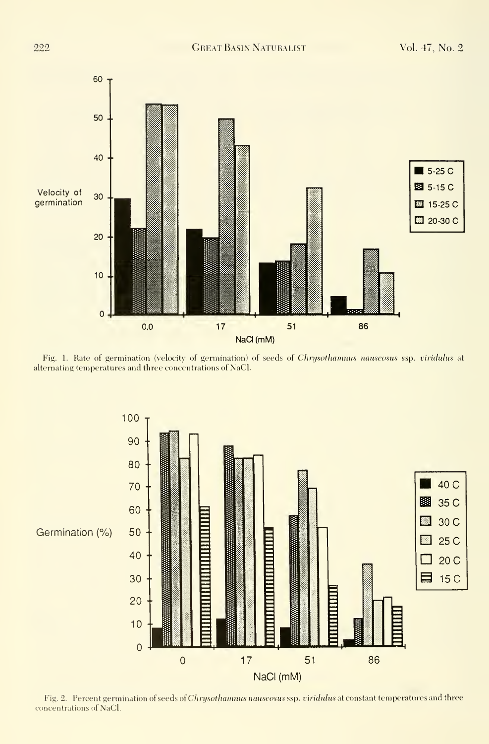

Fig. 1. Rate of germination (velocity of germination) of seeds of Chrysothamnus nauseosus ssp. viridulus at alternating temperatures and three concentrations of NaCl.



Fig. 2. Percent germination of seeds of Chrysothamnus nauseosus ssp. ciridulus at constant temperatures and three concentrations of NaCl.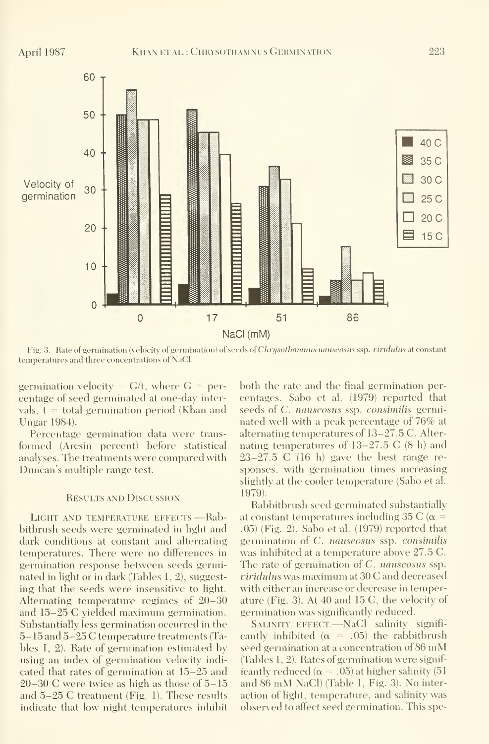

Fig. 3. Rate of germination (velocity of germination) of seeds of Chrysothamnus nauseosus ssp. viridulus at constant temperatures and three concentrations of NaCl.

germination velocity =  $G/t$ , where  $G =$  percentage of seed germinated at one-day intervals,  $t =$  total germination period (Khan and Ungar 1984).

Percentage germination data were transformed (Arcsin percent) before statistical analyses. The treatments were compared with Duncan's multiple range test.

#### **RESULTS AND DISCUSSION**

LIGHT AND TEMPERATURE EFFECTS.--- Rabbithrush seeds were germinated in light and dark conditions at constant and alternating temperatures. There were no differences in germination response between seeds germinated in light or in dark (Tables 1, 2), suggesting that the seeds were insensitive to light. Alternating temperature regimes of 20–30 and 15–25 C vielded maximum germination. Substantially less germination occurred in the 5-15 and 5-25 C temperature treatments (Tables 1, 2). Rate of germination estimated by using an index of germination velocity indicated that rates of germination at 15–25 and  $20-30$  C were twice as high as those of  $5-15$ and 5-25 C treatment (Fig. 1). These results indicate that low night temperatures inhibit both the rate and the final germination percentages. Sabo et al. (1979) reported that seeds of C. nauseosus ssp. consimilis germinated well with a peak percentage of 76% at alternating temperatures of 13-27.5 C. Alternating temperatures of  $13-27.5$  C  $(8 \text{ h})$  and  $23-27.5$  C (16 h) gave the best range responses, with germination times increasing slightly at the cooler temperature (Sabo et al. 1979).

Rabbitbrush seed germinated substantially at constant temperatures including 35 C ( $\alpha$  =  $(0.05)$  (Fig. 2). Sabo et al. (1979) reported that germination of C. nauseosus ssp. consimilis was inhibited at a temperature above 27.5 C. The rate of germination of  $C$ . *nauseosus* ssp. viridulus was maximum at 30 C and decreased with either an increase or decrease in temperature (Fig. 3). At 40 and 15 C, the velocity of germination was significantly reduced.

SALINITY EFFECT.-NaCl salinity significantly inhibited ( $\alpha$  = .05) the rabbitbrush seed germination at a concentration of 86 mM (Tables 1, 2). Rates of germination were significantly reduced ( $\alpha = .05$ ) at higher salinity (51) and 86 mM NaCl) (Table 1, Fig. 3). No interaction of light, temperature, and salinity was observed to affect seed germination. This spe-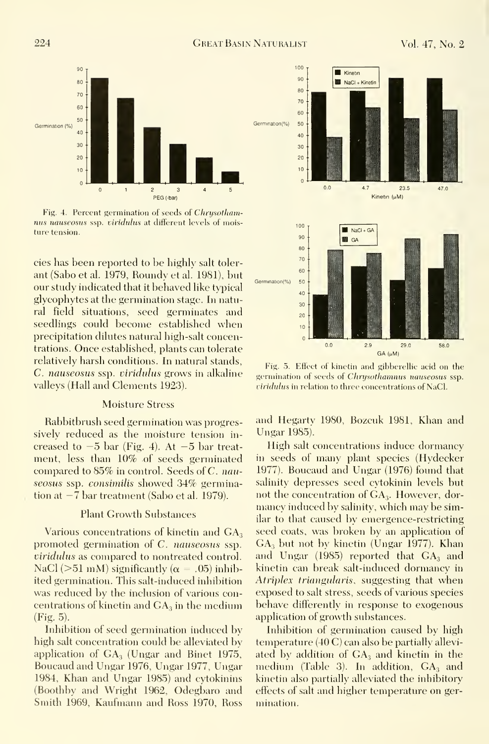100



Fig. 4. Percent germination of seeds of Chrysothamnus nauseosus ssp. viridulus at different levels of moisture tension.

cies has been reported to be highly salt toler ant (Sabo et al. 1979, Roundy et al. 1981), but our study indicated that it behaved like typical glycophytes at the germination stage. In natural field situations, seed germinates and seedlings could become established when precipitation dilutes natural high-salt concentrations. Once established, plants can tolerate relatively harsh conditions. In natural stands, C. nauseosus ssp. viridulus grows in alkaline valleys (Hall and Clements 1923).

#### Moisture Stress

Rabbitbrush seed germination was progressively reduced as the moisture tension in creased to  $-5$  bar (Fig. 4). At  $-5$  bar treatment, less than 10% of seeds germinated compared to 85% in control. Seeds of C. nauseosus ssp. consimilis showed 34% germina- $\frac{1}{2}$ tion at  $-7$  bar treatment (Sabo et al. 1979).

#### Plant Growth Substances

Various concentrations of kinetin and  $GA_3$ promoted germination of C. nauseosus ssp. viridulus as compared to nontreated control. NaCl ( $>51$  mM) significantly ( $\alpha = .05$ ) inhibited germination. This salt-induced inhibition was reduced by the inclusion of various concentrations of kinetin and  $GA<sub>3</sub>$  in the medium (Fig. 5).

Inhibition of seed germination induced by high salt concentration could be alleviated by application of  $GA_3$  (Ungar and Binet 1975, Boucaud and Ungar 1976, Ungar 1977, Ungar 1984, Khan and Ungar 1985) and cytokinins (Boothby and Wright 1962, Odegbaro and Smith 1969, Kaufmann and Ross 1970, Ross



Fig. 5. Effect of kinetin and gibberellic acid on the germination of seeds of Chrysothamnus nauseosus ssp. viridulus in relation to three concentrations of NaCl.

and Hegartv 1980, Bozcuk 1981, Khan and Ungar 1985).

High salt concentrations induce dormancy in seeds of many plant species (Hydecker 1977). Boucaud and Ungar (1976) found that salinity depresses seed cytokinin levels but not the concentration of  $GA<sub>3</sub>$ . However, dormancy induced by salinity, which may be similar to that caused by emergence-restricting seed coats, was broken by an application of  $GA<sub>3</sub>$  but not by kinetin (Ungar 1977). Khan and Ungar  $(1985)$  reported that  $GA<sub>3</sub>$  and kinetin can break salt-induced dormancy in Atriplex triangularis, suggesting that when exposed to salt stress, seeds of various species behave differently in response to exogenous application of growth substances.

Inhibition of germination caused by high temperature (40 C) can also be partially allevi ated by addition of  $GA_3$  and kinetin in the medium (Table 3). In addition,  $GA_3$  and kinetin also partially alleviated the inhibitory effects of salt and higher temperature on ger mination.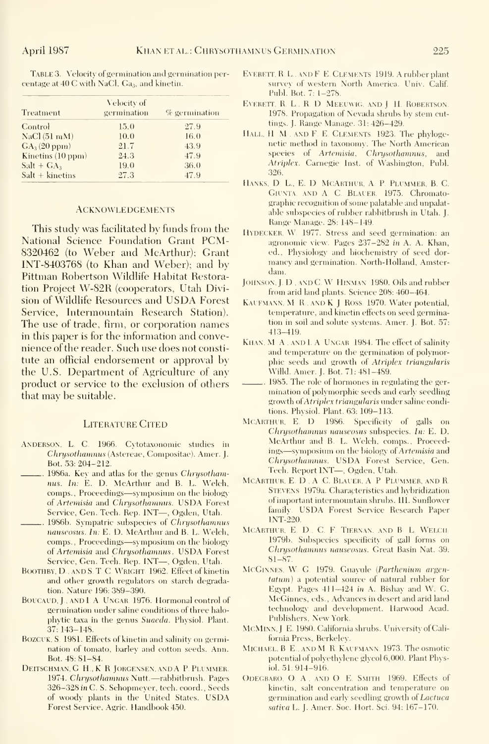TABLE 3. Velocity of germination and germination percentage at 40 C with NaCl, Ga<sub>3</sub>, and kinetin.

| Treatment                   | Velocity of<br>germination | $\%$ germination |
|-----------------------------|----------------------------|------------------|
| Control                     | 15.0                       | 27.9             |
| NaCl(51 <sub>m</sub> M)     | 10.0                       | 16.0             |
| $GA_3(20 ppm)$              | 21.7                       | 43.9             |
| Kinetins $(10 \text{ ppm})$ | 24.3                       | 47.9             |
| $Salt + GA3$                | 19.0                       | 36.0             |
| $Salt + kinetins$           | 27.3                       | 47.9             |

#### **ACKNOWLEDGEMENTS**

This study was facilitated by funds from the National Science Foundation Grant PCM-8320462 (to Weber and McArthur); Grant INT-8403768 (to Khan and Weber); and by Pittman Robertson Wildlife Habitat Restoration Project W-82R (cooperators, Utah Division of Wildlife Resources and USDA Forest Service, Intermountain Research Station). The use of trade, firm, or corporation names in this paper is for the information and convenience of the reader. Such use does not constitute an official endorsement or approval by the U.S. Department of Agriculture of any product or service to the exclusion of others that may be suitable.

#### **LITERATURE CITED**

- ANDERSON, L. C. 1966. Cvtotaxonomic studies in Chrysothamnus (Astereae, Compositae). Amer. J. Bot. 53: 204-212.
- ... 1986a. Key and atlas for the genus Chrysothamnus. In: E. D. MeArthur and B. L. Welch, comps., Proceedings-symposium on the biology of Artemisia and Chrysothamnus. USDA Forest Service, Gen. Tech. Rep. 1NT-, Ogden, Utah.
- . 1986b. Sympatric subspecies of Chrysothamnus nauseosus. In: E. D. MeArthur and B. L. Welch, comps., Proceedings-symposium on the biology of Artemisia and Chrysothamnus. USDA Forest Service, Gen. Teeh. Rep. INT-, Ogden, Utah.
- BOOTHBY, D., AND S. T. C. WRIGHT. 1962. Effect of kinetin and other growth regulators on starch degradation. Nature 196: 389-390.
- BOUCAUD, J., AND I. A. UNGAR. 1976. Hormonal eontrol of germination under saline conditions of three halophytic taxa in the genus Suaeda. Physiol. Plant.  $37:143 - 148.$
- BOZCUK, S. 1981. Effects of kinetin and salinity on germination of tomato, barley and cotton seeds. Ann. Bot. 48: S1-84.
- DEITSCHMAN, G. H., K. R. JORGENSEN, AND A. P. PLUMMER. 1974. Chrysothamnus Nutt.-rabbitbrush. Pages 326-328 in C. S. Schopmever, tech. coord., Seeds. of woody plants in the United States. USDA Forest Service, Agric. Handbook 450.
- EVERETT, R. L., AND F. E. CLEMENTS 1919. A rubber plant survey of western North America. Univ. Calif. Publ. Bot. 7: 1-278.
- EVERETT, R. L., R. D. MEEUWIG, AND J. II. ROBERTSON. 1978. Propagation of Nevada shrubs by stem cuttings. J. Range Manage. 31: 426-429.
- HALL, H M. AND F. E. CLEMENTS. 1923. The phylogenetic method in taxonomy. The North American species of Artemisia, Chrysothamnus, and Atriplex. Carnegie Inst. of Washington, Publ. 326
- HANKS, D. L., E. D. MCARTHUR, A. P. PLUMMER, B. C. GIUNTA. AND A. C. BLAUER. 1975. Chromatographic recognition of some palatable and unpalatable subspecies of rubber rabbitbrush in Utah. I. Range Manage. 28: 148-149.
- HYDECKER, W. 1977. Stress and seed germination: an agronomic view. Pages 237-282 in A. A. Khan, ed., Physiology and biochemistry of seed dormaney and germination. North-Holland, Amsterdam.
- JOHNSON, J. D., AND C. W. HINMAN 1980. Oils and rubber from arid land plants. Science 208: 460-464.
- KAUFMANN, M. R., AND K. J. ROSS, 1970. Water potential, temperature, and kinetin effects on seed germination in soil and solute systems. Amer. J. Bot. 57:  $-413 - 419$ .
- KHAN, M A. AND L A UNGAR 1984. The effect of salinity and temperature on the germination of polymorphie seeds and growth of Atriplex triangularis Willd. Amer. J. Bot. 71: 481-489.
- ... 1985. The role of hormones in regulating the germination of polymorphic seeds and early seedling growth of *Atriplex triangularis* under saline eonditions. Physiol. Plant. 63: 109-113.
- MCARTHUR, E. D. 1986. Specificity of galls on Chrysothamnus nauseosus subspecies. In: E. D. McArthur and B. L. Welch, comps., Proceedings-symposium on the biology of Artemisia and Chrysothamnus. USDA Forest Service, Gen. Tech. Report INT-, Ogden, Utah.
- MCARTHUR, E. D., A. C. BLAUER, A. P. PLUMMER, AND R. STEVENS 1979a. Characteristics and hybridization of important intermountain shrubs. III. Sunflower family. USDA Forest Service Research Paper **INT-220.**
- MCARTHUR, E. D., C. F. TIERNAN, AND B. L. WELCH, 1979b. Subspecies specificity of gall forms on Chrysothamnus nauseosus. Great Basin Nat. 39.  $81 - 87$
- MCGINNES, W. G. 1979. Guayule (Parthenium argentatum) a potential source of natural rubber for Egypt. Pages 411-424 in A. Bishay and W. G. MeGinnes, eds., Advances in desert and arid land technology and development. Harwood Acad. Publishers, New York.
- MCMINN, J. E. 1980. California shrubs. University of California Press, Berkeley.
- MICHAEL, B. E., AND M. R. KAUFMANN, 1973. The osmotic potential of polyethylene glycol 6,000. Plant Physiol. 51: 914-916.
- ODEGBARO, O. A., AND O. E. SMITH 1969. Effects of kinetin, salt concentration and temperature on germination and early seedling growth of *Lactuca* sativa L. J. Amer. Soc. Hort. Sci. 94: 167-170.